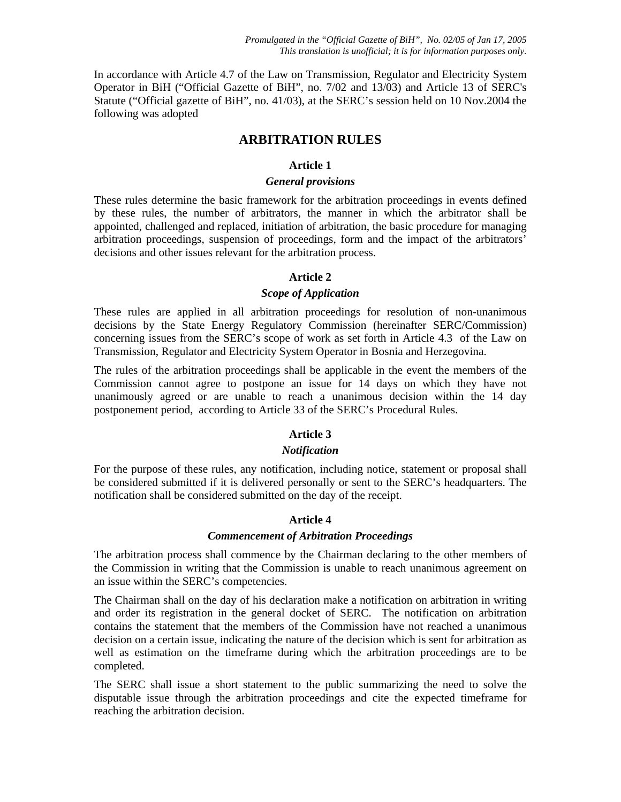In accordance with Article 4.7 of the Law on Transmission, Regulator and Electricity System Operator in BiH ("Official Gazette of BiH", no. 7/02 and 13/03) and Article 13 of SERC's Statute ("Official gazette of BiH", no. 41/03), at the SERC's session held on 10 Nov.2004 the following was adopted

## **ARBITRATION RULES**

## **Article 1**

## *General provisions*

These rules determine the basic framework for the arbitration proceedings in events defined by these rules, the number of arbitrators, the manner in which the arbitrator shall be appointed, challenged and replaced, initiation of arbitration, the basic procedure for managing arbitration proceedings, suspension of proceedings, form and the impact of the arbitrators' decisions and other issues relevant for the arbitration process.

## **Article 2**

## *Scope of Application*

These rules are applied in all arbitration proceedings for resolution of non-unanimous decisions by the State Energy Regulatory Commission (hereinafter SERC/Commission) concerning issues from the SERC's scope of work as set forth in Article 4.3 of the Law on Transmission, Regulator and Electricity System Operator in Bosnia and Herzegovina.

The rules of the arbitration proceedings shall be applicable in the event the members of the Commission cannot agree to postpone an issue for 14 days on which they have not unanimously agreed or are unable to reach a unanimous decision within the 14 day postponement period, according to Article 33 of the SERC's Procedural Rules.

## **Article 3**

## *Notification*

For the purpose of these rules, any notification, including notice, statement or proposal shall be considered submitted if it is delivered personally or sent to the SERC's headquarters. The notification shall be considered submitted on the day of the receipt.

## **Article 4**

### *Commencement of Arbitration Proceedings*

The arbitration process shall commence by the Chairman declaring to the other members of the Commission in writing that the Commission is unable to reach unanimous agreement on an issue within the SERC's competencies.

The Chairman shall on the day of his declaration make a notification on arbitration in writing and order its registration in the general docket of SERC. The notification on arbitration contains the statement that the members of the Commission have not reached a unanimous decision on a certain issue, indicating the nature of the decision which is sent for arbitration as well as estimation on the timeframe during which the arbitration proceedings are to be completed.

The SERC shall issue a short statement to the public summarizing the need to solve the disputable issue through the arbitration proceedings and cite the expected timeframe for reaching the arbitration decision.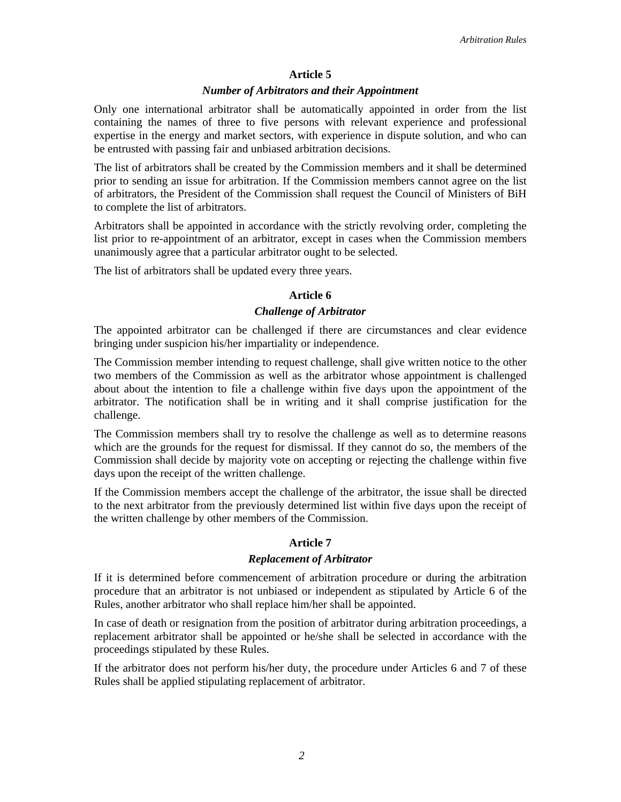#### **Article 5**

#### *Number of Arbitrators and their Appointment*

Only one international arbitrator shall be automatically appointed in order from the list containing the names of three to five persons with relevant experience and professional expertise in the energy and market sectors, with experience in dispute solution, and who can be entrusted with passing fair and unbiased arbitration decisions.

The list of arbitrators shall be created by the Commission members and it shall be determined prior to sending an issue for arbitration. If the Commission members cannot agree on the list of arbitrators, the President of the Commission shall request the Council of Ministers of BiH to complete the list of arbitrators.

Arbitrators shall be appointed in accordance with the strictly revolving order, completing the list prior to re-appointment of an arbitrator, except in cases when the Commission members unanimously agree that a particular arbitrator ought to be selected.

The list of arbitrators shall be updated every three years.

### **Article 6**

#### *Challenge of Arbitrator*

The appointed arbitrator can be challenged if there are circumstances and clear evidence bringing under suspicion his/her impartiality or independence.

The Commission member intending to request challenge, shall give written notice to the other two members of the Commission as well as the arbitrator whose appointment is challenged about about the intention to file a challenge within five days upon the appointment of the arbitrator. The notification shall be in writing and it shall comprise justification for the challenge.

The Commission members shall try to resolve the challenge as well as to determine reasons which are the grounds for the request for dismissal. If they cannot do so, the members of the Commission shall decide by majority vote on accepting or rejecting the challenge within five days upon the receipt of the written challenge.

If the Commission members accept the challenge of the arbitrator, the issue shall be directed to the next arbitrator from the previously determined list within five days upon the receipt of the written challenge by other members of the Commission.

### **Article 7**

### *Replacement of Arbitrator*

If it is determined before commencement of arbitration procedure or during the arbitration procedure that an arbitrator is not unbiased or independent as stipulated by Article 6 of the Rules, another arbitrator who shall replace him/her shall be appointed.

In case of death or resignation from the position of arbitrator during arbitration proceedings, a replacement arbitrator shall be appointed or he/she shall be selected in accordance with the proceedings stipulated by these Rules.

If the arbitrator does not perform his/her duty, the procedure under Articles 6 and 7 of these Rules shall be applied stipulating replacement of arbitrator.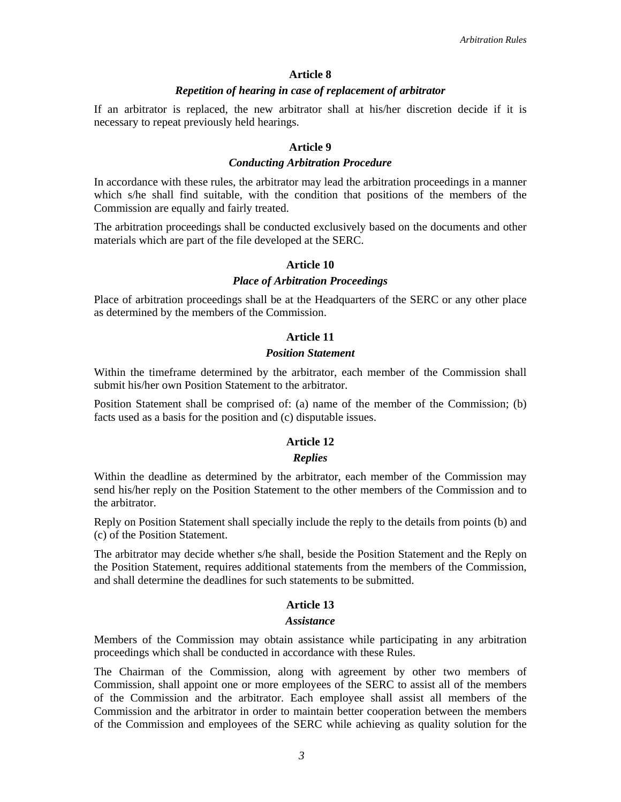#### **Article 8**

#### *Repetition of hearing in case of replacement of arbitrator*

If an arbitrator is replaced, the new arbitrator shall at his/her discretion decide if it is necessary to repeat previously held hearings.

## **Article 9**

#### *Conducting Arbitration Procedure*

In accordance with these rules, the arbitrator may lead the arbitration proceedings in a manner which s/he shall find suitable, with the condition that positions of the members of the Commission are equally and fairly treated.

The arbitration proceedings shall be conducted exclusively based on the documents and other materials which are part of the file developed at the SERC.

#### **Article 10**

#### *Place of Arbitration Proceedings*

Place of arbitration proceedings shall be at the Headquarters of the SERC or any other place as determined by the members of the Commission.

### **Article 11**

## *Position Statement*

Within the timeframe determined by the arbitrator, each member of the Commission shall submit his/her own Position Statement to the arbitrator.

Position Statement shall be comprised of: (a) name of the member of the Commission; (b) facts used as a basis for the position and (c) disputable issues.

### **Article 12**

#### *Replies*

Within the deadline as determined by the arbitrator, each member of the Commission may send his/her reply on the Position Statement to the other members of the Commission and to the arbitrator.

Reply on Position Statement shall specially include the reply to the details from points (b) and (c) of the Position Statement.

The arbitrator may decide whether s/he shall, beside the Position Statement and the Reply on the Position Statement, requires additional statements from the members of the Commission, and shall determine the deadlines for such statements to be submitted.

### **Article 13**

#### *Assistance*

Members of the Commission may obtain assistance while participating in any arbitration proceedings which shall be conducted in accordance with these Rules.

The Chairman of the Commission, along with agreement by other two members of Commission, shall appoint one or more employees of the SERC to assist all of the members of the Commission and the arbitrator. Each employee shall assist all members of the Commission and the arbitrator in order to maintain better cooperation between the members of the Commission and employees of the SERC while achieving as quality solution for the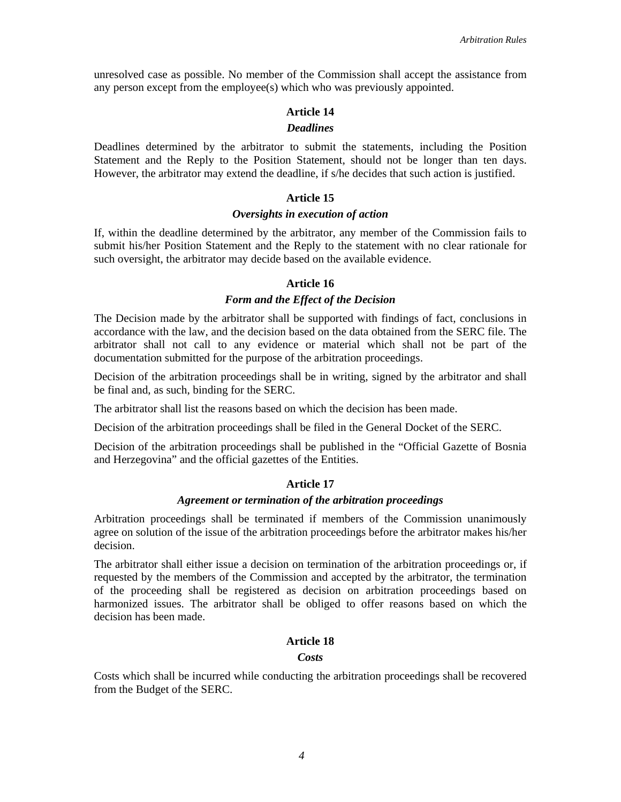unresolved case as possible. No member of the Commission shall accept the assistance from any person except from the employee(s) which who was previously appointed.

# **Article 14**

## *Deadlines*

Deadlines determined by the arbitrator to submit the statements, including the Position Statement and the Reply to the Position Statement, should not be longer than ten days. However, the arbitrator may extend the deadline, if s/he decides that such action is justified.

#### **Article 15**

#### *Oversights in execution of action*

If, within the deadline determined by the arbitrator, any member of the Commission fails to submit his/her Position Statement and the Reply to the statement with no clear rationale for such oversight, the arbitrator may decide based on the available evidence.

#### **Article 16**

#### *Form and the Effect of the Decision*

The Decision made by the arbitrator shall be supported with findings of fact, conclusions in accordance with the law, and the decision based on the data obtained from the SERC file. The arbitrator shall not call to any evidence or material which shall not be part of the documentation submitted for the purpose of the arbitration proceedings.

Decision of the arbitration proceedings shall be in writing, signed by the arbitrator and shall be final and, as such, binding for the SERC.

The arbitrator shall list the reasons based on which the decision has been made.

Decision of the arbitration proceedings shall be filed in the General Docket of the SERC.

Decision of the arbitration proceedings shall be published in the "Official Gazette of Bosnia and Herzegovina" and the official gazettes of the Entities.

#### **Article 17**

#### *Agreement or termination of the arbitration proceedings*

Arbitration proceedings shall be terminated if members of the Commission unanimously agree on solution of the issue of the arbitration proceedings before the arbitrator makes his/her decision.

The arbitrator shall either issue a decision on termination of the arbitration proceedings or, if requested by the members of the Commission and accepted by the arbitrator, the termination of the proceeding shall be registered as decision on arbitration proceedings based on harmonized issues. The arbitrator shall be obliged to offer reasons based on which the decision has been made.

#### **Article 18**

#### *Costs*

Costs which shall be incurred while conducting the arbitration proceedings shall be recovered from the Budget of the SERC.